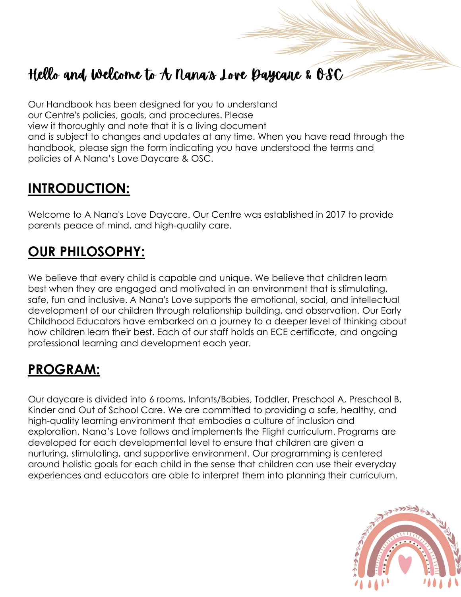## Hello and Welcome to A Nana's Love Baycane & OSC

Our Handbook has been designed for you to understand our Centre's policies, goals, and procedures. Please view it thoroughly and note that it is a living document and is subject to changes and updates at any time. When you have read through the handbook, please sign the form indicating you have understood the terms and policies of A Nana's Love Daycare & OSC.

### **INTRODUCTION:**

Welcome to A Nana's Love Daycare. Our Centre was established in 2017 to provide parents peace of mind, and high-quality care.

## **OUR PHILOSOPHY:**

We believe that every child is capable and unique. We believe that children learn best when they are engaged and motivated in an environment that is stimulating, safe, fun and inclusive. A Nana's Love supports the emotional, social, and intellectual development of our children through relationship building, and observation. Our Early Childhood Educators have embarked on a journey to a deeper level of thinking about how children learn their best. Each of our staff holds an ECE certificate, and ongoing professional learning and development each year.

## **PROGRAM:**

Our daycare is divided into 6 rooms, Infants/Babies, Toddler, Preschool A, Preschool B, Kinder and Out of School Care. We are committed to providing a safe, healthy, and high-quality learning environment that embodies a culture of inclusion and exploration. Nana's Love follows and implements the Flight curriculum. Programs are developed for each developmental level to ensure that children are given a nurturing, stimulating, and supportive environment. Our programming is centered around holistic goals for each child in the sense that children can use their everyday experiences and educators are able to interpret them into planning their curriculum.

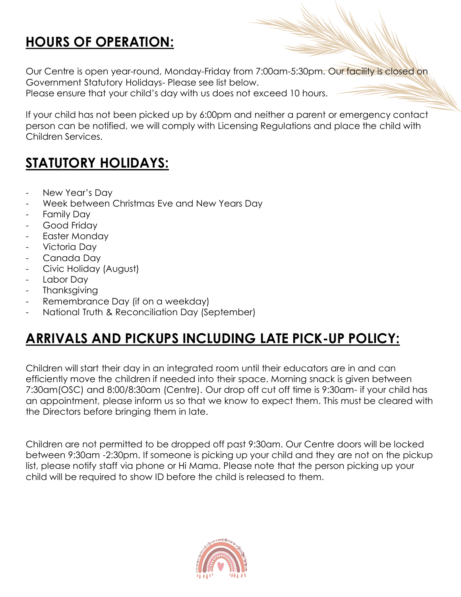## **HOURS OF OPERATION:**

Our Centre is open year-round, Monday-Friday from 7:00am-5:30pm. Our facility is closed on Government Statutory Holidays- Please see list below.

Please ensure that your child's day with us does not exceed 10 hours.

If your child has not been picked up by 6:00pm and neither a parent or emergency contact person can be notified, we will comply with Licensing Regulations and place the child with Children Services.

## **STATUTORY HOLIDAYS:**

- New Year's Day
- Week between Christmas Eve and New Years Day
- Family Day
- Good Friday
- Easter Monday
- Victoria Day
- Canada Day
- Civic Holiday (August)
- Labor Day
- **Thanksgiving**
- Remembrance Day (if on a weekday)
- National Truth & Reconciliation Day (September)

### **ARRIVALS AND PICKUPS INCLUDING LATE PICK-UP POLICY:**

Children will start their day in an integrated room until their educators are in and can efficiently move the children if needed into their space. Morning snack is given between 7:30am(OSC) and 8:00/8:30am (Centre). Our drop off cut off time is 9:30am- if your child has an appointment, please inform us so that we know to expect them. This must be cleared with the Directors before bringing them in late.

Children are not permitted to be dropped off past 9:30am. Our Centre doors will be locked between 9:30am -2:30pm. If someone is picking up your child and they are not on the pickup list, please notify staff via phone or Hi Mama. Please note that the person picking up your child will be required to show ID before the child is released to them.

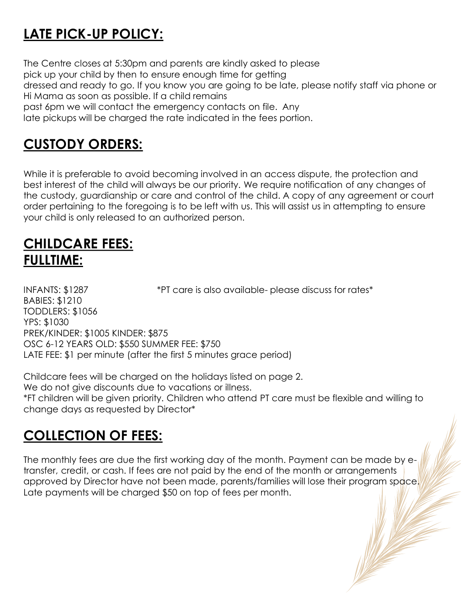## **LATE PICK-UP POLICY:**

The Centre closes at 5:30pm and parents are kindly asked to please pick up your child by then to ensure enough time for getting dressed and ready to go. If you know you are going to be late, please notify staff via phone or Hi Mama as soon as possible. If a child remains past 6pm we will contact the emergency contacts on file. Any

late pickups will be charged the rate indicated in the fees portion.

### **CUSTODY ORDERS:**

While it is preferable to avoid becoming involved in an access dispute, the protection and best interest of the child will always be our priority. We require notification of any changes of the custody, guardianship or care and control of the child. A copy of any agreement or court order pertaining to the foregoing is to be left with us. This will assist us in attempting to ensure your child is only released to an authorized person.

### **CHILDCARE FEES: FULLTIME:**

INFANTS: \$1287 \*PT care is also available-please discuss for rates\* BABIES: \$1210 TODDLERS: \$1056 YPS: \$1030 PREK/KINDER: \$1005 KINDER: \$875 OSC 6-12 YEARS OLD: \$550 SUMMER FEE: \$750 LATE FEE: \$1 per minute (after the first 5 minutes grace period)

Childcare fees will be charged on the holidays listed on page 2. We do not give discounts due to vacations or illness. \*FT children will be given priority. Children who attend PT care must be flexible and willing to change days as requested by Director\*

### **COLLECTION OF FEES:**

The monthly fees are due the first working day of the month. Payment can be made by etransfer, credit, or cash. If fees are not paid by the end of the month or arrangements approved by Director have not been made, parents/families will lose their program space. Late payments will be charged \$50 on top of fees per month.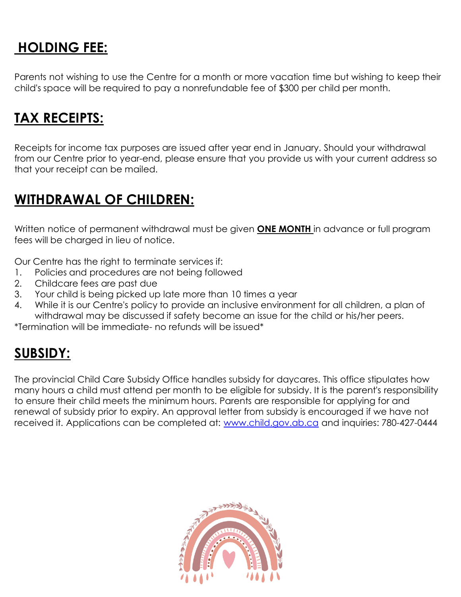### **HOLDING FEE:**

Parents not wishing to use the Centre for a month or more vacation time but wishing to keep their child's space will be required to pay a nonrefundable fee of \$300 per child per month.

#### **TAX RECEIPTS:**

Receipts for income tax purposes are issued after year end in January. Should your withdrawal from our Centre prior to year-end, please ensure that you provide us with your current address so that your receipt can be mailed.

#### **WITHDRAWAL OF CHILDREN:**

Written notice of permanent withdrawal must be given **ONE MONTH** in advance or full program fees will be charged in lieu of notice.

Our Centre has the right to terminate services if:

- 1. Policies and procedures are not being followed
- 2. Childcare fees are past due
- 3. Your child is being picked up late more than 10 times a year
- 4. While it is our Centre's policy to provide an inclusive environment for all children, a plan of withdrawal may be discussed if safety become an issue for the child or his/her peers.

\*Termination will be immediate- no refunds will be issued\*

## **SUBSIDY:**

The provincial Child Care Subsidy Office handles subsidy for daycares. This office stipulates how many hours a child must attend per month to be eligible for subsidy. It is the parent's responsibility to ensure their child meets the minimum hours. Parents are responsible for applying for and renewal of subsidy prior to expiry. An approval letter from subsidy is encouraged if we have not received it. Applications can be completed at: [www.child.gov.ab.ca](http://www.child.gov.ab.ca/) and inquiries: 780-427-0444

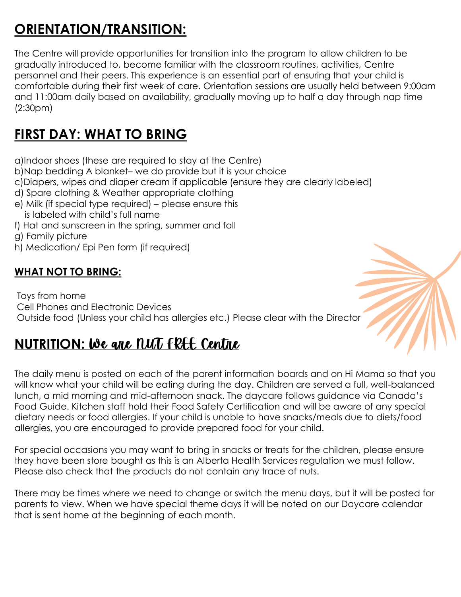## **ORIENTATION/TRANSITION:**

The Centre will provide opportunities for transition into the program to allow children to be gradually introduced to, become familiar with the classroom routines, activities, Centre personnel and their peers. This experience is an essential part of ensuring that your child is comfortable during their first week of care. Orientation sessions are usually held between 9:00am and 11:00am daily based on availability, gradually moving up to half a day through nap time (2:30pm)

## **FIRST DAY: WHAT TO BRING**

a)Indoor shoes (these are required to stay at the Centre)

- b)Nap bedding A blanket– we do provide but it is your choice
- c)Diapers, wipes and diaper cream if applicable (ensure they are clearly labeled)
- d) Spare clothing & Weather appropriate clothing
- e) Milk (if special type required) please ensure this is labeled with child's full name
- f) Hat and sunscreen in the spring, summer and fall
- g) Family picture
- h) Medication/ Epi Pen form (if required)

#### **WHAT NOT TO BRING:**

Toys from home Cell Phones and Electronic Devices Outside food (Unless your child has allergies etc.) Please clear with the Director

## **NUTRITION: We gave** *NUT* FREE Centre

The daily menu is posted on each of the parent information boards and on Hi Mama so that you will know what your child will be eating during the day. Children are served a full, well-balanced lunch, a mid morning and mid-afternoon snack. The daycare follows guidance via Canada's Food Guide. Kitchen staff hold their Food Safety Certification and will be aware of any special dietary needs or food allergies. If your child is unable to have snacks/meals due to diets/food allergies, you are encouraged to provide prepared food for your child.

For special occasions you may want to bring in snacks or treats for the children, please ensure they have been store bought as this is an Alberta Health Services regulation we must follow. Please also check that the products do not contain any trace of nuts.

There may be times where we need to change or switch the menu days, but it will be posted for parents to view. When we have special theme days it will be noted on our Daycare calendar that is sent home at the beginning of each month.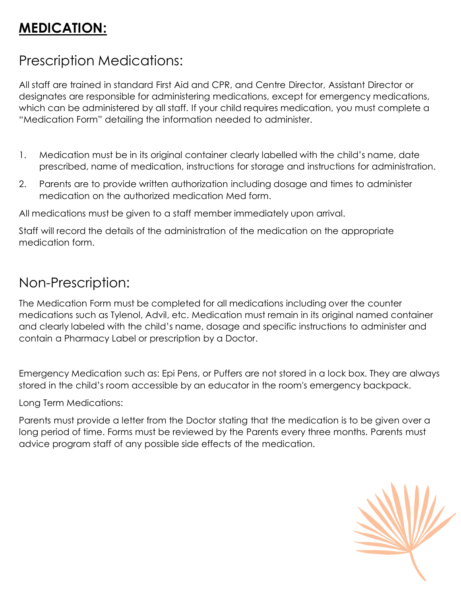## **MEDICATION:**

### Prescription Medications:

All staff are trained in standard First Aid and CPR, and Centre Director, Assistant Director or designates are responsible for administering medications, except for emergency medications, which can be administered by all staff. If your child requires medication, you must complete a "Medication Form" detailing the information needed to administer.

- 1. Medication must be in its original container clearly labelled with the child's name, date prescribed, name of medication, instructions for storage and instructions for administration.
- 2. Parents are to provide written authorization including dosage and times to administer medication on the authorized medication Med form.

All medications must be given to a staff member immediately upon arrival.

Staff will record the details of the administration of the medication on the appropriate medication form.

#### Non-Prescription:

The Medication Form must be completed for all medications including over the counter medications such as Tylenol, Advil, etc. Medication must remain in its original named container and clearly labeled with the child's name, dosage and specific instructions to administer and contain a Pharmacy Label or prescription by a Doctor.

Emergency Medication such as: Epi Pens, or Puffers are not stored in a lock box. They are always stored in the child's room accessible by an educator in the room's emergency backpack.

Long Term Medications:

Parents must provide a letter from the Doctor stating that the medication is to be given over a long period of time. Forms must be reviewed by the Parents every three months. Parents must advice program staff of any possible side effects of the medication.

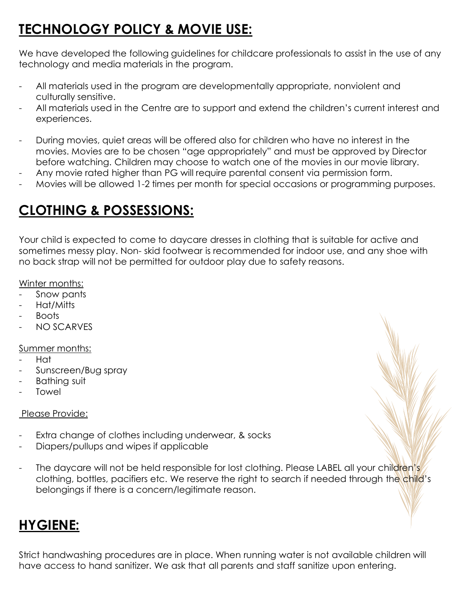## **TECHNOLOGY POLICY & MOVIE USE:**

We have developed the following guidelines for childcare professionals to assist in the use of any technology and media materials in the program.

- All materials used in the program are developmentally appropriate, nonviolent and culturally sensitive.
- All materials used in the Centre are to support and extend the children's current interest and experiences.
- During movies, quiet areas will be offered also for children who have no interest in the movies. Movies are to be chosen "age appropriately" and must be approved by Director before watching. Children may choose to watch one of the movies in our movie library.
- Any movie rated higher than PG will require parental consent via permission form.
- Movies will be allowed 1-2 times per month for special occasions or programming purposes.

## **CLOTHING & POSSESSIONS:**

Your child is expected to come to daycare dresses in clothing that is suitable for active and sometimes messy play. Non- skid footwear is recommended for indoor use, and any shoe with no back strap will not be permitted for outdoor play due to safety reasons.

#### Winter months:

- Snow pants
- Hat/Mitts
- **Boots**
- NO SCARVES

#### Summer months:

- Hat
- Sunscreen/Bug spray
- Bathing suit
- **Towel**

#### Please Provide:

- Extra change of clothes including underwear, & socks
- Diapers/pullups and wipes if applicable
- The daycare will not be held responsible for lost clothing. Please LABEL all your children's clothing, bottles, pacifiers etc. We reserve the right to search if needed through the child's belongings if there is a concern/legitimate reason.

### **HYGIENE:**

Strict handwashing procedures are in place. When running water is not available children will have access to hand sanitizer. We ask that all parents and staff sanitize upon entering.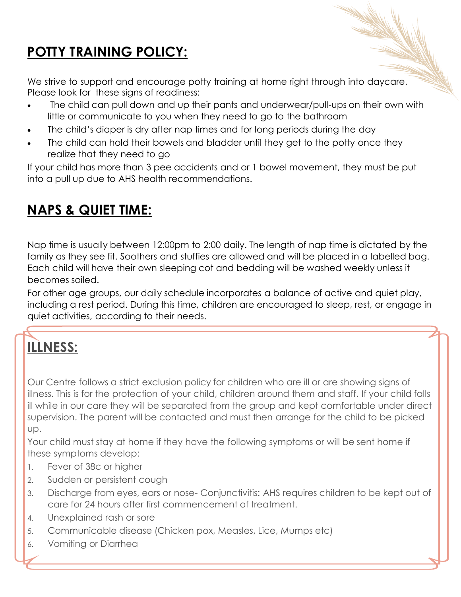## **POTTY TRAINING POLICY:**

We strive to support and encourage potty training at home right through into daycare. Please look for these signs of readiness:

- The child can pull down and up their pants and underwear/pull-ups on their own with little or communicate to you when they need to go to the bathroom
- The child's diaper is dry after nap times and for long periods during the day
- The child can hold their bowels and bladder until they get to the potty once they realize that they need to go

If your child has more than 3 pee accidents and or 1 bowel movement, they must be put into a pull up due to AHS health recommendations.

## **NAPS & QUIET TIME:**

Nap time is usually between 12:00pm to 2:00 daily. The length of nap time is dictated by the family as they see fit. Soothers and stuffies are allowed and will be placed in a labelled bag. Each child will have their own sleeping cot and bedding will be washed weekly unless it becomes soiled.

For other age groups, our daily schedule incorporates a balance of active and quiet play, including a rest period. During this time, children are encouraged to sleep, rest, or engage in quiet activities, according to their needs.

# **ILLNESS:**

Our Centre follows a strict exclusion policy for children who are ill or are showing signs of illness. This is for the protection of your child, children around them and staff. If your child falls ill while in our care they will be separated from the group and kept comfortable under direct supervision. The parent will be contacted and must then arrange for the child to be picked up.

Your child must stay at home if they have the following symptoms or will be sent home if these symptoms develop:

- 1. Fever of 38c or higher
- 2. Sudden or persistent cough
- 3. Discharge from eyes, ears or nose- Conjunctivitis: AHS requires children to be kept out of care for 24 hours after first commencement of treatment.
- 4. Unexplained rash or sore
- 5. Communicable disease (Chicken pox, Measles, Lice, Mumps etc)
- 6. Vomiting or Diarrhea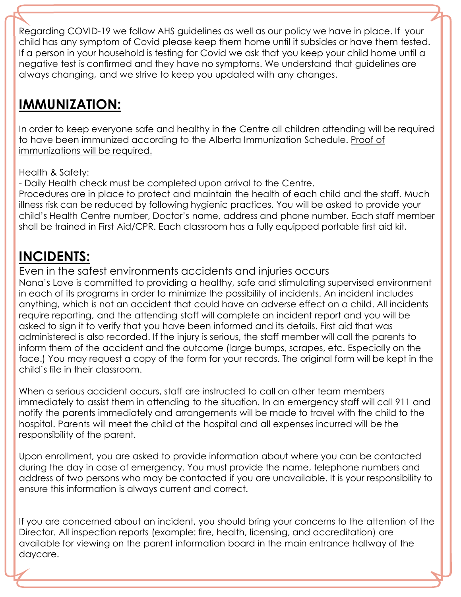Regarding COVID-19 we follow AHS guidelines as well as our policy we have in place. If your child has any symptom of Covid please keep them home until it subsides or have them tested. If a person in your household is testing for Covid we ask that you keep your child home until a negative test is confirmed and they have no symptoms. We understand that guidelines are always changing, and we strive to keep you updated with any changes.

## **IMMUNIZATION:**

In order to keep everyone safe and healthy in the Centre all children attending will be required to have been immunized according to the Alberta Immunization Schedule. Proof of immunizations will be required.

Health & Safety:

- Daily Health check must be completed upon arrival to the Centre.

Procedures are in place to protect and maintain the health of each child and the staff. Much illness risk can be reduced by following hygienic practices. You will be asked to provide your child's Health Centre number, Doctor's name, address and phone number. Each staff member shall be trained in First Aid/CPR. Each classroom has a fully equipped portable first aid kit.

## **INCIDENTS:**

Even in the safest environments accidents and injuries occurs Nana's Love is committed to providing a healthy, safe and stimulating supervised environment in each of its programs in order to minimize the possibility of incidents. An incident includes anything, which is not an accident that could have an adverse effect on a child. All incidents require reporting, and the attending staff will complete an incident report and you will be asked to sign it to verify that you have been informed and its details. First aid that was administered is also recorded. If the injury is serious, the staff member will call the parents to inform them of the accident and the outcome (large bumps, scrapes, etc. Especially on the face.) You may request a copy of the form for your records. The original form will be kept in the child's file in their classroom.

When a serious accident occurs, staff are instructed to call on other team members immediately to assist them in attending to the situation. In an emergency staff will call 911 and notify the parents immediately and arrangements will be made to travel with the child to the hospital. Parents will meet the child at the hospital and all expenses incurred will be the responsibility of the parent.

Upon enrollment, you are asked to provide information about where you can be contacted during the day in case of emergency. You must provide the name, telephone numbers and address of two persons who may be contacted if you are unavailable. It is your responsibility to ensure this information is always current and correct.

If you are concerned about an incident, you should bring your concerns to the attention of the Director. All inspection reports (example: fire, health, licensing, and accreditation) are available for viewing on the parent information board in the main entrance hallway of the daycare.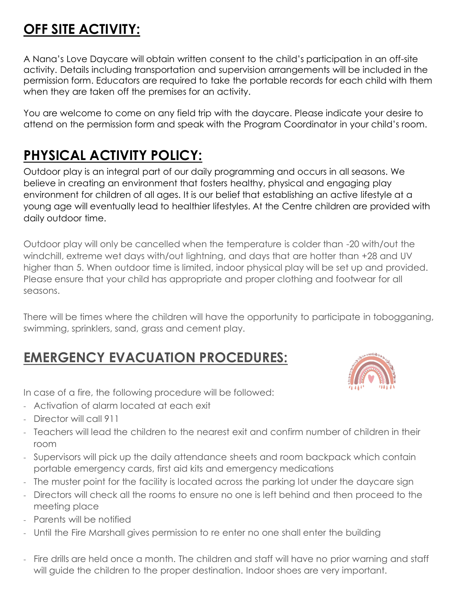## **OFF SITE ACTIVITY:**

A Nana's Love Daycare will obtain written consent to the child's participation in an off-site activity. Details including transportation and supervision arrangements will be included in the permission form. Educators are required to take the portable records for each child with them when they are taken off the premises for an activity.

You are welcome to come on any field trip with the daycare. Please indicate your desire to attend on the permission form and speak with the Program Coordinator in your child's room.

## **PHYSICAL ACTIVITY POLICY:**

Outdoor play is an integral part of our daily programming and occurs in all seasons. We believe in creating an environment that fosters healthy, physical and engaging play environment for children of all ages. It is our belief that establishing an active lifestyle at a young age will eventually lead to healthier lifestyles. At the Centre children are provided with daily outdoor time.

Outdoor play will only be cancelled when the temperature is colder than -20 with/out the windchill, extreme wet days with/out lightning, and days that are hotter than +28 and UV higher than 5. When outdoor time is limited, indoor physical play will be set up and provided. Please ensure that your child has appropriate and proper clothing and footwear for all seasons.

There will be times where the children will have the opportunity to participate in tobogganing, swimming, sprinklers, sand, grass and cement play.

### **EMERGENCY EVACUATION PROCEDURES:**



In case of a fire, the following procedure will be followed:

- Activation of alarm located at each exit
- Director will call 911
- Teachers will lead the children to the nearest exit and confirm number of children in their room
- Supervisors will pick up the daily attendance sheets and room backpack which contain portable emergency cards, first aid kits and emergency medications
- The muster point for the facility is located across the parking lot under the daycare sign
- Directors will check all the rooms to ensure no one is left behind and then proceed to the meeting place
- Parents will be notified
- Until the Fire Marshall gives permission to re enter no one shall enter the building
- Fire drills are held once a month. The children and staff will have no prior warning and staff will guide the children to the proper destination. Indoor shoes are very important.